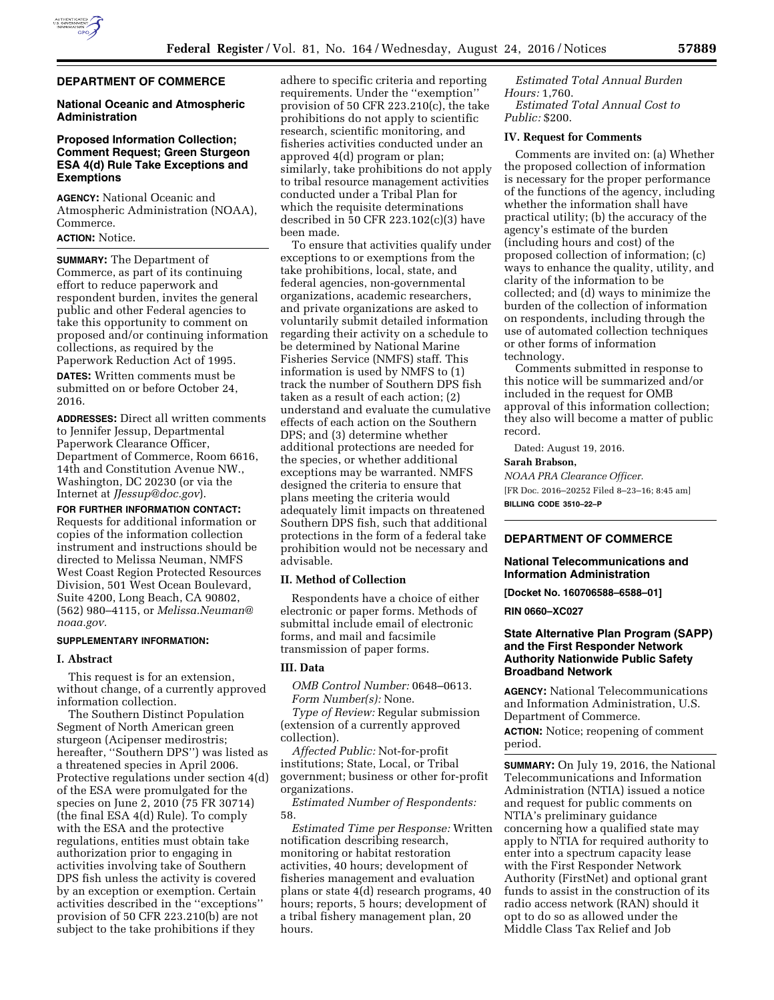

## **DEPARTMENT OF COMMERCE**

### **National Oceanic and Atmospheric Administration**

### **Proposed Information Collection; Comment Request; Green Sturgeon ESA 4(d) Rule Take Exceptions and Exemptions**

**AGENCY:** National Oceanic and Atmospheric Administration (NOAA), Commerce.

# **ACTION:** Notice.

**SUMMARY:** The Department of Commerce, as part of its continuing effort to reduce paperwork and respondent burden, invites the general public and other Federal agencies to take this opportunity to comment on proposed and/or continuing information collections, as required by the Paperwork Reduction Act of 1995.

**DATES:** Written comments must be submitted on or before October 24, 2016.

**ADDRESSES:** Direct all written comments to Jennifer Jessup, Departmental Paperwork Clearance Officer, Department of Commerce, Room 6616, 14th and Constitution Avenue NW., Washington, DC 20230 (or via the Internet at *[JJessup@doc.gov](mailto:JJessup@doc.gov)*).

**FOR FURTHER INFORMATION CONTACT:**  Requests for additional information or copies of the information collection instrument and instructions should be directed to Melissa Neuman, NMFS West Coast Region Protected Resources Division, 501 West Ocean Boulevard, Suite 4200, Long Beach, CA 90802, (562) 980–4115, or *[Melissa.Neuman@](mailto:Melissa.Neuman@noaa.gov) [noaa.gov.](mailto:Melissa.Neuman@noaa.gov)* 

#### **SUPPLEMENTARY INFORMATION:**

#### **I. Abstract**

This request is for an extension, without change, of a currently approved information collection.

The Southern Distinct Population Segment of North American green sturgeon (Acipenser medirostris; hereafter, ''Southern DPS'') was listed as a threatened species in April 2006. Protective regulations under section 4(d) of the ESA were promulgated for the species on June 2, 2010 (75 FR 30714) (the final ESA 4(d) Rule). To comply with the ESA and the protective regulations, entities must obtain take authorization prior to engaging in activities involving take of Southern DPS fish unless the activity is covered by an exception or exemption. Certain activities described in the ''exceptions'' provision of 50 CFR 223.210(b) are not subject to the take prohibitions if they

adhere to specific criteria and reporting requirements. Under the ''exemption'' provision of 50 CFR 223.210(c), the take prohibitions do not apply to scientific research, scientific monitoring, and fisheries activities conducted under an approved 4(d) program or plan; similarly, take prohibitions do not apply to tribal resource management activities conducted under a Tribal Plan for which the requisite determinations described in 50 CFR 223.102(c)(3) have been made.

To ensure that activities qualify under exceptions to or exemptions from the take prohibitions, local, state, and federal agencies, non-governmental organizations, academic researchers, and private organizations are asked to voluntarily submit detailed information regarding their activity on a schedule to be determined by National Marine Fisheries Service (NMFS) staff. This information is used by NMFS to (1) track the number of Southern DPS fish taken as a result of each action; (2) understand and evaluate the cumulative effects of each action on the Southern DPS; and (3) determine whether additional protections are needed for the species, or whether additional exceptions may be warranted. NMFS designed the criteria to ensure that plans meeting the criteria would adequately limit impacts on threatened Southern DPS fish, such that additional protections in the form of a federal take prohibition would not be necessary and advisable.

### **II. Method of Collection**

Respondents have a choice of either electronic or paper forms. Methods of submittal include email of electronic forms, and mail and facsimile transmission of paper forms.

## **III. Data**

*OMB Control Number:* 0648–0613. *Form Number(s):* None.

*Type of Review:* Regular submission (extension of a currently approved collection).

*Affected Public:* Not-for-profit institutions; State, Local, or Tribal government; business or other for-profit organizations.

*Estimated Number of Respondents:*  58.

*Estimated Time per Response:* Written notification describing research, monitoring or habitat restoration activities, 40 hours; development of fisheries management and evaluation plans or state 4(d) research programs, 40 hours; reports, 5 hours; development of a tribal fishery management plan, 20 hours.

*Estimated Total Annual Burden Hours:* 1,760. *Estimated Total Annual Cost to Public:* \$200.

#### **IV. Request for Comments**

Comments are invited on: (a) Whether the proposed collection of information is necessary for the proper performance of the functions of the agency, including whether the information shall have practical utility; (b) the accuracy of the agency's estimate of the burden (including hours and cost) of the proposed collection of information; (c) ways to enhance the quality, utility, and clarity of the information to be collected; and (d) ways to minimize the burden of the collection of information on respondents, including through the use of automated collection techniques or other forms of information technology.

Comments submitted in response to this notice will be summarized and/or included in the request for OMB approval of this information collection; they also will become a matter of public record.

Dated: August 19, 2016.

# **Sarah Brabson,**

*NOAA PRA Clearance Officer.*  [FR Doc. 2016–20252 Filed 8–23–16; 8:45 am] **BILLING CODE 3510–22–P** 

#### **DEPARTMENT OF COMMERCE**

### **National Telecommunications and Information Administration**

**[Docket No. 160706588–6588–01]** 

**RIN 0660–XC027** 

### **State Alternative Plan Program (SAPP) and the First Responder Network Authority Nationwide Public Safety Broadband Network**

**AGENCY:** National Telecommunications and Information Administration, U.S. Department of Commerce. **ACTION:** Notice; reopening of comment period.

**SUMMARY:** On July 19, 2016, the National Telecommunications and Information Administration (NTIA) issued a notice and request for public comments on NTIA's preliminary guidance concerning how a qualified state may apply to NTIA for required authority to enter into a spectrum capacity lease with the First Responder Network Authority (FirstNet) and optional grant funds to assist in the construction of its radio access network (RAN) should it opt to do so as allowed under the Middle Class Tax Relief and Job